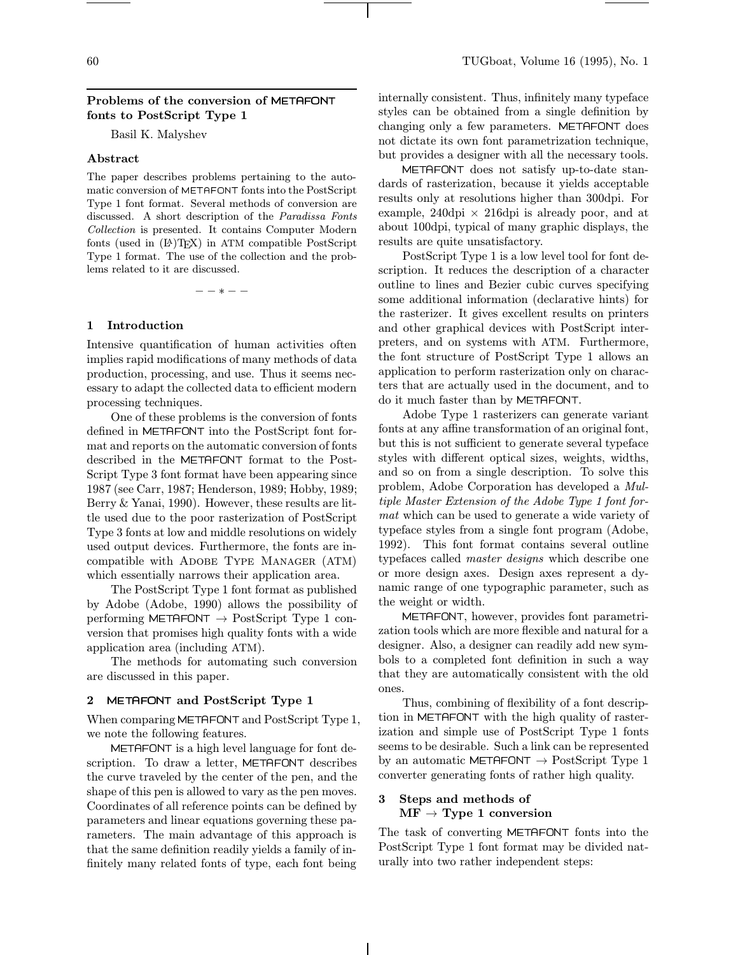## 60 TUGboat, Volume 16 (1995), No. 1

### Problems of the conversion of METAFONT fonts to PostScript Type 1

Basil K. Malyshev

#### Abstract

The paper describes problems pertaining to the automatic conversion of METAFONT fonts into the PostScript Type 1 font format. Several methods of conversion are discussed. A short description of the Paradissa Fonts Collection is presented. It contains Computer Modern fonts (used in (L<sup>A</sup>)TEX) in ATM compatible PostScript Type 1 format. The use of the collection and the problems related to it are discussed.

−−∗−−

### 1 Introduction

Intensive quantification of human activities often implies rapid modifications of many methods of data production, processing, and use. Thus it seems necessary to adapt the collected data to efficient modern processing techniques.

One of these problems is the conversion of fonts defined in METAFONT into the PostScript font format and reports on the automatic conversion of fonts described in the METAFONT format to the Post-Script Type 3 font format have been appearing since 1987 (see Carr, 1987; Henderson, 1989; Hobby, 1989; Berry & Yanai, 1990). However, these results are little used due to the poor rasterization of PostScript Type 3 fonts at low and middle resolutions on widely used output devices. Furthermore, the fonts are incompatible with Adobe Type Manager (ATM) which essentially narrows their application area.

The PostScript Type 1 font format as published by Adobe (Adobe, 1990) allows the possibility of performing METAFONT  $\rightarrow$  PostScript Type 1 conversion that promises high quality fonts with a wide application area (including ATM).

The methods for automating such conversion are discussed in this paper.

#### 2 METAFONT and PostScript Type 1

When comparing METAFONT and PostScript Type 1, we note the following features.

METAFONT is a high level language for font description. To draw a letter, METAFONT describes the curve traveled by the center of the pen, and the shape of this pen is allowed to vary as the pen moves. Coordinates of all reference points can be defined by parameters and linear equations governing these parameters. The main advantage of this approach is that the same definition readily yields a family of infinitely many related fonts of type, each font being

internally consistent. Thus, infinitely many typeface styles can be obtained from a single definition by changing only a few parameters. METAFONT does not dictate its own font parametrization technique, but provides a designer with all the necessary tools.

METAFONT does not satisfy up-to-date standards of rasterization, because it yields acceptable results only at resolutions higher than 300dpi. For example,  $240\text{dpi} \times 216\text{dpi}$  is already poor, and at about 100dpi, typical of many graphic displays, the results are quite unsatisfactory.

PostScript Type 1 is a low level tool for font description. It reduces the description of a character outline to lines and Bezier cubic curves specifying some additional information (declarative hints) for the rasterizer. It gives excellent results on printers and other graphical devices with PostScript interpreters, and on systems with ATM. Furthermore, the font structure of PostScript Type 1 allows an application to perform rasterization only on characters that are actually used in the document, and to do it much faster than by METAFONT.

Adobe Type 1 rasterizers can generate variant fonts at any affine transformation of an original font, but this is not sufficient to generate several typeface styles with different optical sizes, weights, widths, and so on from a single description. To solve this problem, Adobe Corporation has developed a Multiple Master Extension of the Adobe Type 1 font format which can be used to generate a wide variety of typeface styles from a single font program (Adobe, 1992). This font format contains several outline typefaces called master designs which describe one or more design axes. Design axes represent a dynamic range of one typographic parameter, such as the weight or width.

METAFONT, however, provides font parametrization tools which are more flexible and natural for a designer. Also, a designer can readily add new symbols to a completed font definition in such a way that they are automatically consistent with the old ones.

Thus, combining of flexibility of a font description in METAFONT with the high quality of rasterization and simple use of PostScript Type 1 fonts seems to be desirable. Such a link can be represented by an automatic METAFONT  $\rightarrow$  PostScript Type 1 converter generating fonts of rather high quality.

# 3 Steps and methods of  $MF \rightarrow Type\ 1$  conversion

The task of converting METAFONT fonts into the PostScript Type 1 font format may be divided naturally into two rather independent steps: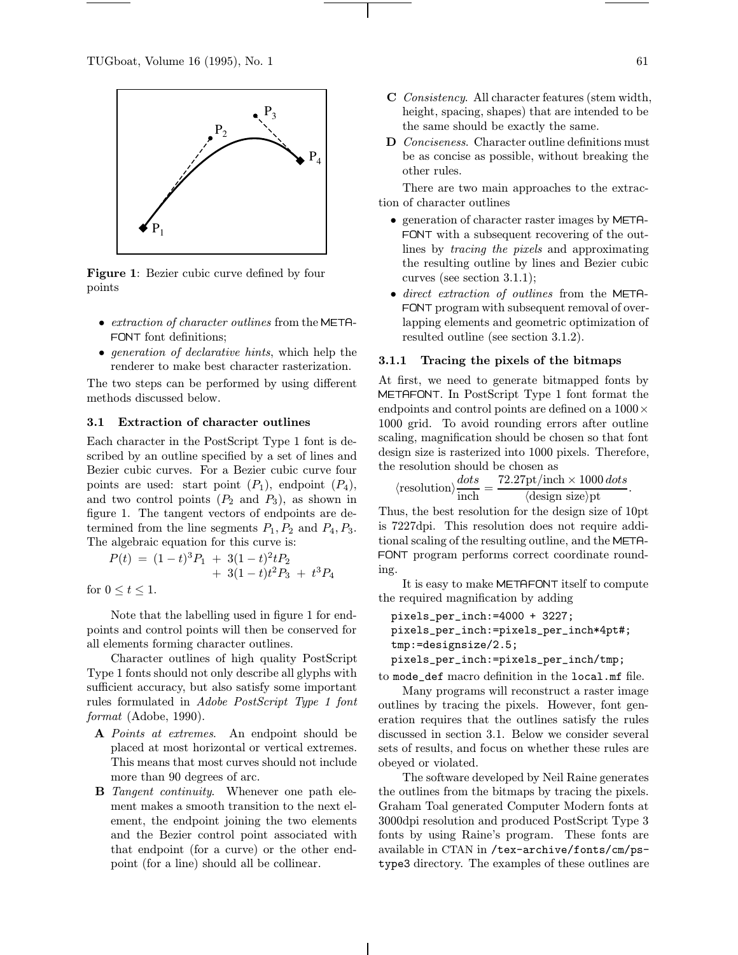

Figure 1: Bezier cubic curve defined by four points

- *extraction of character outlines* from the META-FONT font definitions;
- generation of declarative hints, which help the renderer to make best character rasterization.

The two steps can be performed by using different methods discussed below.

#### 3.1 Extraction of character outlines

Each character in the PostScript Type 1 font is described by an outline specified by a set of lines and Bezier cubic curves. For a Bezier cubic curve four points are used: start point  $(P_1)$ , endpoint  $(P_4)$ , and two control points  $(P_2 \text{ and } P_3)$ , as shown in figure 1. The tangent vectors of endpoints are determined from the line segments  $P_1, P_2$  and  $P_4, P_3$ . The algebraic equation for this curve is:

$$
P(t) = (1-t)^3 P_1 + 3(1-t)^2 t P_2
$$
  
+ 3(1-t)t<sup>2</sup>P<sub>3</sub> + t<sup>3</sup>P<sub>4</sub>

for  $0 \le t \le 1$ .

Note that the labelling used in figure 1 for endpoints and control points will then be conserved for all elements forming character outlines.

Character outlines of high quality PostScript Type 1 fonts should not only describe all glyphs with sufficient accuracy, but also satisfy some important rules formulated in Adobe PostScript Type 1 font format (Adobe, 1990).

- A Points at extremes. An endpoint should be placed at most horizontal or vertical extremes. This means that most curves should not include more than 90 degrees of arc.
- **B** Tangent continuity. Whenever one path element makes a smooth transition to the next element, the endpoint joining the two elements and the Bezier control point associated with that endpoint (for a curve) or the other endpoint (for a line) should all be collinear.
- C Consistency. All character features (stem width, height, spacing, shapes) that are intended to be the same should be exactly the same.
- D Conciseness. Character outline definitions must be as concise as possible, without breaking the other rules.

There are two main approaches to the extraction of character outlines

- generation of character raster images by META-FONT with a subsequent recovering of the outlines by tracing the pixels and approximating the resulting outline by lines and Bezier cubic curves (see section 3.1.1);
- direct extraction of outlines from the META-FONT program with subsequent removal of overlapping elements and geometric optimization of resulted outline (see section 3.1.2).

### 3.1.1 Tracing the pixels of the bitmaps

At first, we need to generate bitmapped fonts by METAFONT. In PostScript Type 1 font format the endpoints and control points are defined on a  $1000 \times$ 1000 grid. To avoid rounding errors after outline scaling, magnification should be chosen so that font design size is rasterized into 1000 pixels. Therefore, the resolution should be chosen as

$$
\langle \text{resolution} \rangle \frac{dots}{\text{inch}} = \frac{72.27 \text{pt/inch} \times 1000 \text{ dots}}{\langle \text{design size} \rangle \text{pt}}.
$$

Thus, the best resolution for the design size of 10pt is 7227dpi. This resolution does not require additional scaling of the resulting outline, and the META-FONT program performs correct coordinate rounding.

It is easy to make METAFONT itself to compute the required magnification by adding

```
pixels_per_inch:=4000 + 3227;
pixels_per_inch:=pixels_per_inch*4pt#;
tmp:=designsize/2.5;
pixels_per_inch:=pixels_per_inch/tmp;
```
to mode\_def macro definition in the local.mf file.

Many programs will reconstruct a raster image outlines by tracing the pixels. However, font generation requires that the outlines satisfy the rules discussed in section 3.1. Below we consider several sets of results, and focus on whether these rules are obeyed or violated.

The software developed by Neil Raine generates the outlines from the bitmaps by tracing the pixels. Graham Toal generated Computer Modern fonts at 3000dpi resolution and produced PostScript Type 3 fonts by using Raine's program. These fonts are available in CTAN in /tex-archive/fonts/cm/pstype3 directory. The examples of these outlines are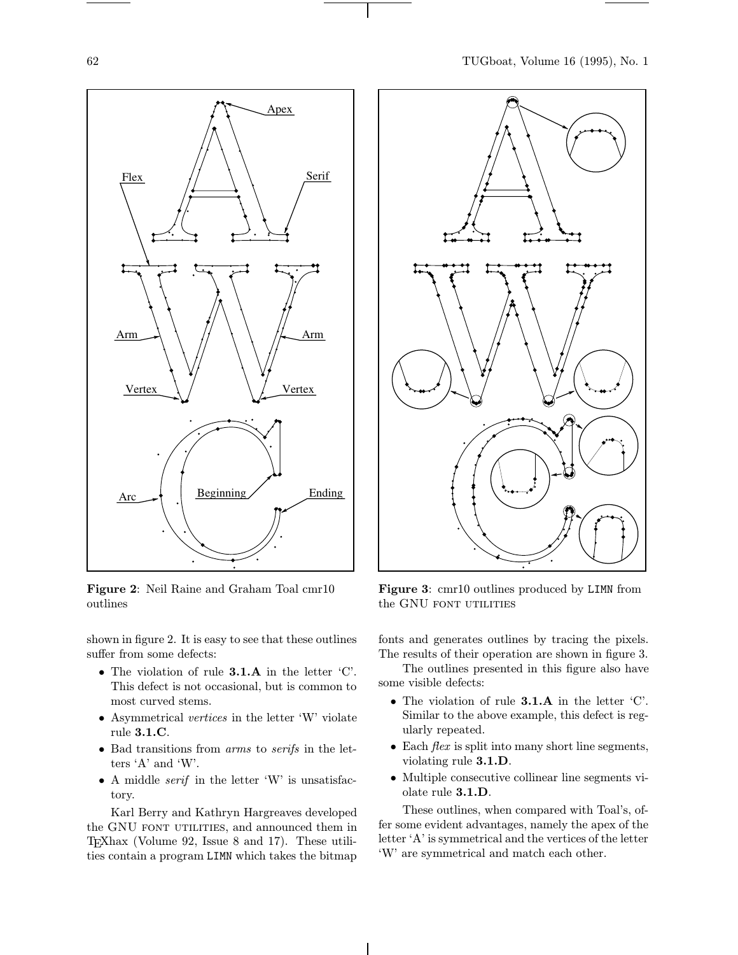

Figure 2: Neil Raine and Graham Toal cmr10 outlines

shown in figure 2. It is easy to see that these outlines suffer from some defects:

- The violation of rule 3.1.A in the letter 'C'. This defect is not occasional, but is common to most curved stems.
- Asymmetrical vertices in the letter 'W' violate rule 3.1.C.
- Bad transitions from arms to serifs in the letters 'A' and 'W'.
- A middle *serif* in the letter 'W' is unsatisfactory.

Karl Berry and Kathryn Hargreaves developed the GNU FONT UTILITIES, and announced them in TEXhax (Volume 92, Issue 8 and 17). These utilities contain a program LIMN which takes the bitmap



Figure 3: cmr10 outlines produced by LIMN from the GNU FONT UTILITIES

fonts and generates outlines by tracing the pixels. The results of their operation are shown in figure 3.

The outlines presented in this figure also have some visible defects:

- The violation of rule 3.1.A in the letter 'C'. Similar to the above example, this defect is regularly repeated.
- Each  $flex$  is split into many short line segments, violating rule 3.1.D.
- Multiple consecutive collinear line segments violate rule 3.1.D.

These outlines, when compared with Toal's, offer some evident advantages, namely the apex of the letter 'A' is symmetrical and the vertices of the letter 'W' are symmetrical and match each other.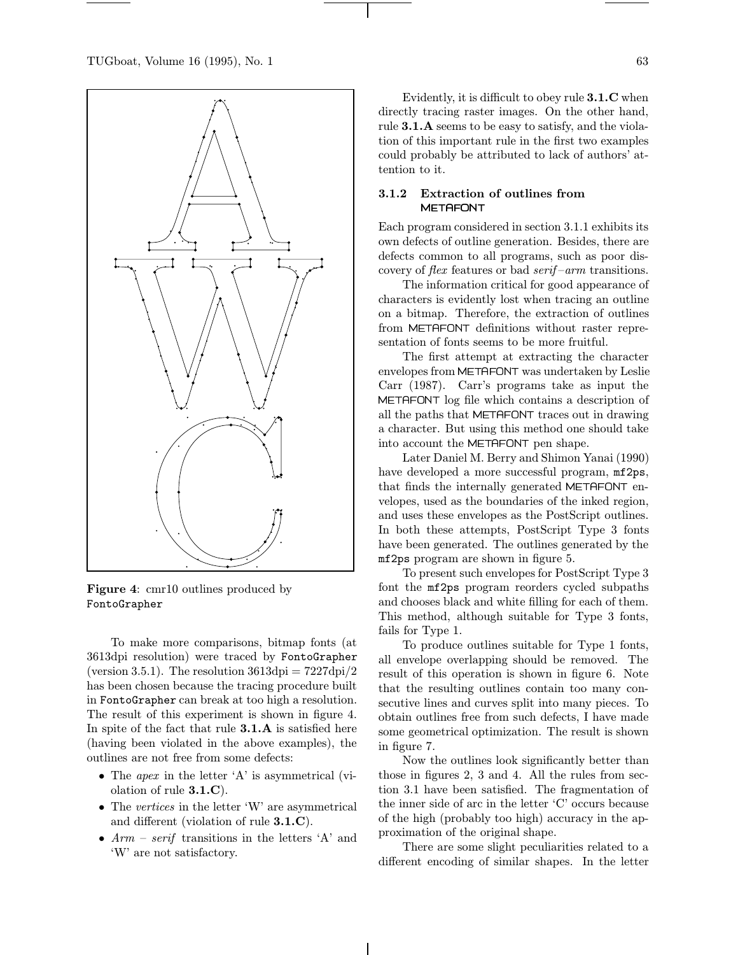

Figure 4: cmr10 outlines produced by FontoGrapher

To make more comparisons, bitmap fonts (at 3613dpi resolution) were traced by FontoGrapher (version 3.5.1). The resolution  $3613\text{dpi} = 7227\text{dpi}/2$ has been chosen because the tracing procedure built in FontoGrapher can break at too high a resolution. The result of this experiment is shown in figure 4. In spite of the fact that rule 3.1.A is satisfied here (having been violated in the above examples), the outlines are not free from some defects:

- The *apex* in the letter 'A' is asymmetrical (violation of rule 3.1.C).
- The vertices in the letter 'W' are asymmetrical and different (violation of rule 3.1.C).
- $Arm serif$  transitions in the letters  $A$  and 'W' are not satisfactory.

Evidently, it is difficult to obey rule 3.1.C when directly tracing raster images. On the other hand, rule 3.1.A seems to be easy to satisfy, and the violation of this important rule in the first two examples could probably be attributed to lack of authors' attention to it.

### 3.1.2 Extraction of outlines from METAFONT

Each program considered in section 3.1.1 exhibits its own defects of outline generation. Besides, there are defects common to all programs, such as poor discovery of *flex* features or bad *serif-arm* transitions.

The information critical for good appearance of characters is evidently lost when tracing an outline on a bitmap. Therefore, the extraction of outlines from METAFONT definitions without raster representation of fonts seems to be more fruitful.

The first attempt at extracting the character envelopes from METAFONT was undertaken by Leslie Carr (1987). Carr's programs take as input the METAFONT log file which contains a description of all the paths that METAFONT traces out in drawing a character. But using this method one should take into account the METAFONT pen shape.

Later Daniel M. Berry and Shimon Yanai (1990) have developed a more successful program, mf2ps, that finds the internally generated METAFONT envelopes, used as the boundaries of the inked region, and uses these envelopes as the PostScript outlines. In both these attempts, PostScript Type 3 fonts have been generated. The outlines generated by the mf2ps program are shown in figure 5.

To present such envelopes for PostScript Type 3 font the mf2ps program reorders cycled subpaths and chooses black and white filling for each of them. This method, although suitable for Type 3 fonts, fails for Type 1.

To produce outlines suitable for Type 1 fonts, all envelope overlapping should be removed. The result of this operation is shown in figure 6. Note that the resulting outlines contain too many consecutive lines and curves split into many pieces. To obtain outlines free from such defects, I have made some geometrical optimization. The result is shown in figure 7.

Now the outlines look significantly better than those in figures 2, 3 and 4. All the rules from section 3.1 have been satisfied. The fragmentation of the inner side of arc in the letter 'C' occurs because of the high (probably too high) accuracy in the approximation of the original shape.

There are some slight peculiarities related to a different encoding of similar shapes. In the letter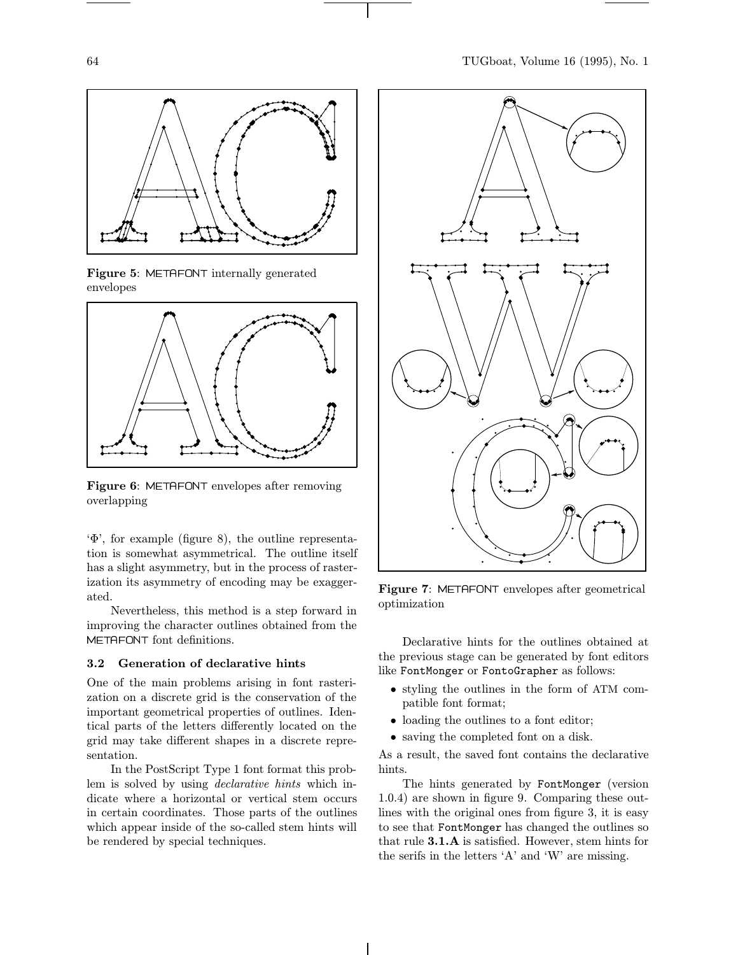





Figure 6: METAFONT envelopes after removing overlapping

'Φ', for example (figure 8), the outline representation is somewhat asymmetrical. The outline itself has a slight asymmetry, but in the process of rasterization its asymmetry of encoding may be exaggerated.

Nevertheless, this method is a step forward in improving the character outlines obtained from the METAFONT font definitions.

# 3.2 Generation of declarative hints

One of the main problems arising in font rasterization on a discrete grid is the conservation of the important geometrical properties of outlines. Identical parts of the letters differently located on the grid may take different shapes in a discrete representation.

In the PostScript Type 1 font format this problem is solved by using declarative hints which indicate where a horizontal or vertical stem occurs in certain coordinates. Those parts of the outlines which appear inside of the so-called stem hints will be rendered by special techniques.



Figure 7: METAFONT envelopes after geometrical optimization

Declarative hints for the outlines obtained at the previous stage can be generated by font editors like FontMonger or FontoGrapher as follows:

- styling the outlines in the form of ATM compatible font format;
- loading the outlines to a font editor;
- saving the completed font on a disk.

As a result, the saved font contains the declarative hints.

The hints generated by FontMonger (version 1.0.4) are shown in figure 9. Comparing these outlines with the original ones from figure 3, it is easy to see that FontMonger has changed the outlines so that rule 3.1.A is satisfied. However, stem hints for the serifs in the letters 'A' and 'W' are missing.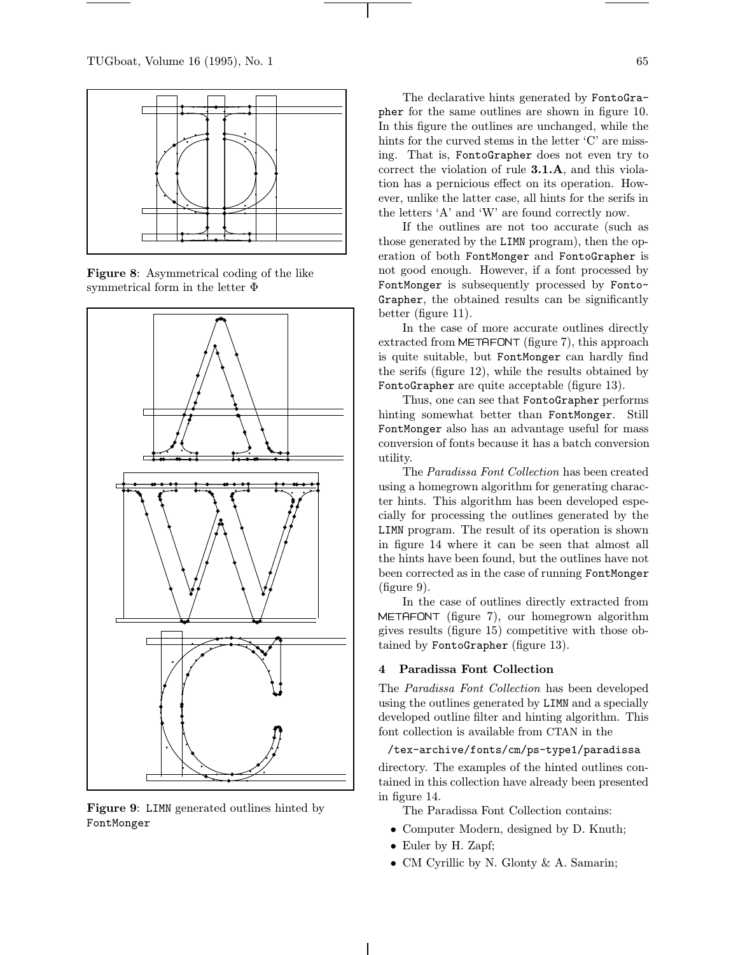

Figure 8: Asymmetrical coding of the like symmetrical form in the letter Φ



Figure 9: LIMN generated outlines hinted by FontMonger

The declarative hints generated by FontoGrapher for the same outlines are shown in figure 10. In this figure the outlines are unchanged, while the hints for the curved stems in the letter 'C' are missing. That is, FontoGrapher does not even try to correct the violation of rule 3.1.A, and this violation has a pernicious effect on its operation. However, unlike the latter case, all hints for the serifs in the letters 'A' and 'W' are found correctly now.

If the outlines are not too accurate (such as those generated by the LIMN program), then the operation of both FontMonger and FontoGrapher is not good enough. However, if a font processed by FontMonger is subsequently processed by Fonto-Grapher, the obtained results can be significantly better (figure 11).

In the case of more accurate outlines directly extracted from METAFONT (figure 7), this approach is quite suitable, but FontMonger can hardly find the serifs (figure 12), while the results obtained by FontoGrapher are quite acceptable (figure 13).

Thus, one can see that FontoGrapher performs hinting somewhat better than FontMonger. Still FontMonger also has an advantage useful for mass conversion of fonts because it has a batch conversion utility.

The Paradissa Font Collection has been created using a homegrown algorithm for generating character hints. This algorithm has been developed especially for processing the outlines generated by the LIMN program. The result of its operation is shown in figure 14 where it can be seen that almost all the hints have been found, but the outlines have not been corrected as in the case of running FontMonger (figure 9).

In the case of outlines directly extracted from METAFONT (figure 7), our homegrown algorithm gives results (figure 15) competitive with those obtained by FontoGrapher (figure 13).

### 4 Paradissa Font Collection

The Paradissa Font Collection has been developed using the outlines generated by LIMN and a specially developed outline filter and hinting algorithm. This font collection is available from CTAN in the

### /tex-archive/fonts/cm/ps-type1/paradissa

directory. The examples of the hinted outlines contained in this collection have already been presented in figure 14.

The Paradissa Font Collection contains:

- Computer Modern, designed by D. Knuth;
- Euler by H. Zapf;
- CM Cyrillic by N. Glonty & A. Samarin;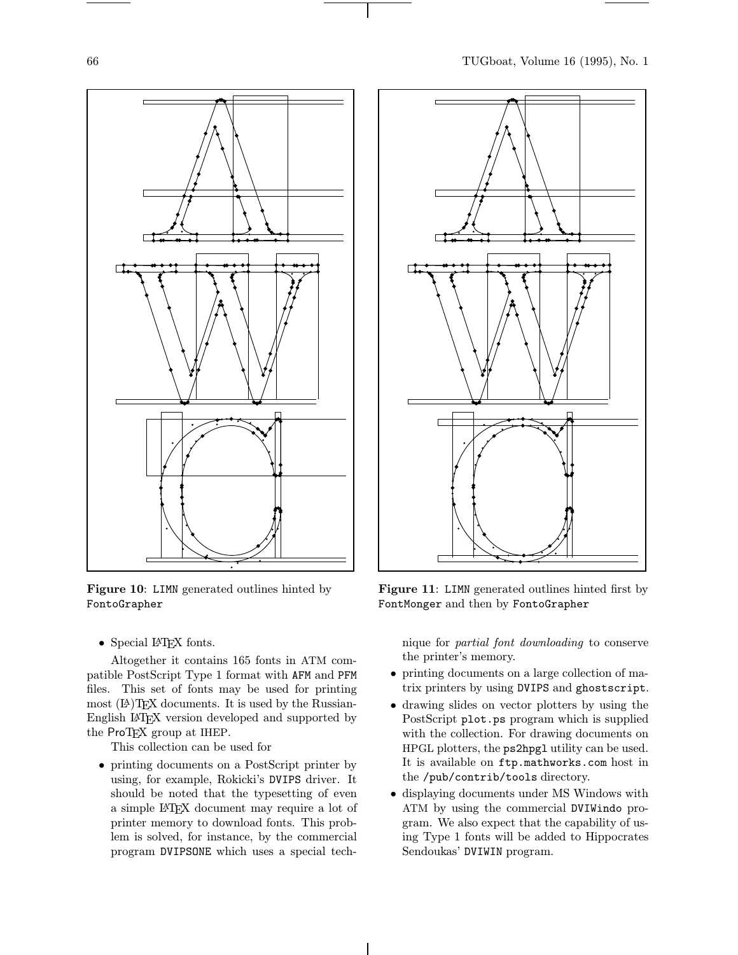

Figure 10: LIMN generated outlines hinted by FontoGrapher

• Special L<sup>AT</sup>EX fonts.

Altogether it contains 165 fonts in ATM compatible PostScript Type 1 format with AFM and PFM files. This set of fonts may be used for printing most  $(E)$ TEX documents. It is used by the Russian-English L<sup>A</sup>TEX version developed and supported by the ProT<sub>EX</sub> group at IHEP.

This collection can be used for

• printing documents on a PostScript printer by using, for example, Rokicki's DVIPS driver. It should be noted that the typesetting of even a simple L<sup>A</sup>TEX document may require a lot of printer memory to download fonts. This problem is solved, for instance, by the commercial program DVIPSONE which uses a special tech-



Figure 11: LIMN generated outlines hinted first by FontMonger and then by FontoGrapher

nique for partial font downloading to conserve the printer's memory.

- printing documents on a large collection of matrix printers by using DVIPS and ghostscript.
- drawing slides on vector plotters by using the PostScript plot.ps program which is supplied with the collection. For drawing documents on HPGL plotters, the ps2hpgl utility can be used. It is available on ftp.mathworks.com host in the /pub/contrib/tools directory.
- displaying documents under MS Windows with ATM by using the commercial DVIWindo program. We also expect that the capability of using Type 1 fonts will be added to Hippocrates Sendoukas' DVIWIN program.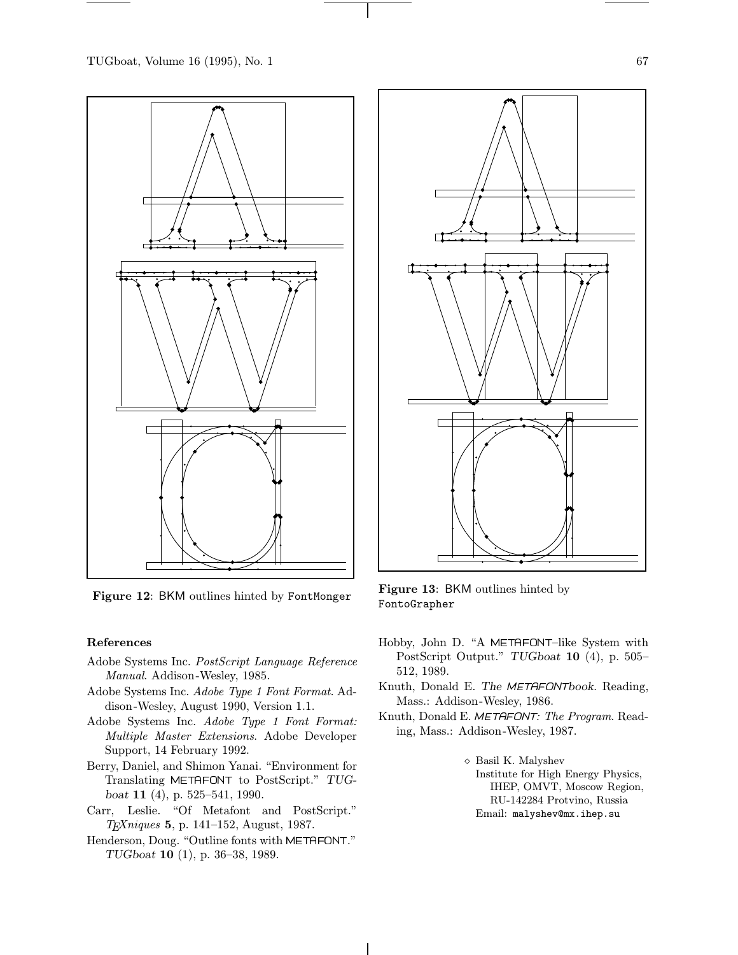

#### References

- Adobe Systems Inc. PostScript Language Reference Manual. Addison-Wesley, 1985.
- Adobe Systems Inc. Adobe Type 1 Font Format. Addison -Wesley, August 1990, Version 1.1.
- Adobe Systems Inc. Adobe Type 1 Font Format: Multiple Master Extensions. Adobe Developer Support, 14 February 1992.
- Berry, Daniel, and Shimon Yanai. "Environment for Translating METAFONT to PostScript." TUGboat 11 (4), p. 525–541, 1990.
- Carr, Leslie. "Of Metafont and PostScript." TEXniques 5, p. 141–152, August, 1987.
- Henderson, Doug. "Outline fonts with METAFONT." TUGboat 10 (1), p. 36–38, 1989.



Figure 12: BKM outlines hinted by FontMonger Figure 13: BKM outlines hinted by FontoGrapher

- Hobby, John D. "A METAFONT–like System with PostScript Output." TUGboat 10 (4), p. 505– 512, 1989.
- Knuth, Donald E. The METAFONTbook. Reading, Mass.: Addison -Wesley, 1986.
- Knuth, Donald E. METAFONT: The Program. Reading, Mass.: Addison -Wesley, 1987.
	- ⋄ Basil K. Malyshev Institute for High Energy Physics, IHEP, OMVT, Moscow Region, RU-142284 Protvino, Russia Email: malyshev@mx.ihep.su